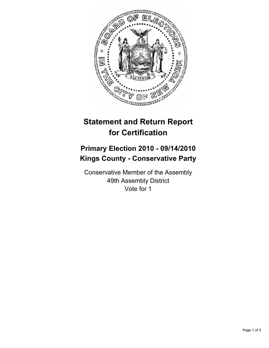

# **Statement and Return Report for Certification**

## **Primary Election 2010 - 09/14/2010 Kings County - Conservative Party**

Conservative Member of the Assembly 49th Assembly District Vote for 1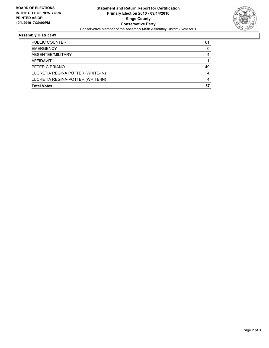

### **Assembly District 49**

| <b>Total Votes</b>                | 57 |
|-----------------------------------|----|
| LUCRETIA REGINA-POTTER (WRITE-IN) | 4  |
| LUCRETIA REGINA POTTER (WRITE-IN) |    |
| PETER CIPRIANO                    | 49 |
| <b>AFFIDAVIT</b>                  |    |
| ABSENTEE/MILITARY                 |    |
| <b>EMERGENCY</b>                  | 0  |
| <b>PUBLIC COUNTER</b>             | 61 |